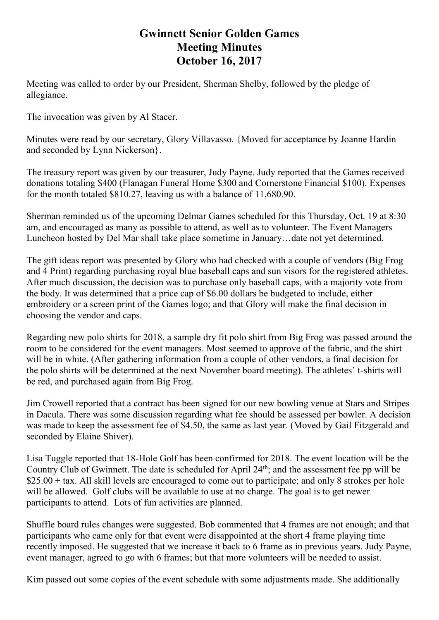## **Gwinnett Senior Golden Games Meeting Minutes October 16, 2017**

Meeting was called to order by our President, Sherman Shelby, followed by the pledge of allegiance.

The invocation was given by Al Stacer.

Minutes were read by our secretary, Glory Villavasso. {Moved for acceptance by Joanne Hardin and seconded by Lynn Nickerson}.

The treasury report was given by our treasurer, Judy Payne. Judy reported that the Games received donations totaling \$400 (Flanagan Funeral Home \$300 and Cornerstone Financial \$100). Expenses for the month totaled \$810.27, leaving us with a balance of 11,680.90.

Sherman reminded us of the upcoming Delmar Games scheduled for this Thursday, Oct. 19 at 8:30 am, and encouraged as many as possible to attend, as well as to volunteer. The Event Managers Luncheon hosted by Del Mar shall take place sometime in January…date not yet determined.

The gift ideas report was presented by Glory who had checked with a couple of vendors (Big Frog and 4 Print) regarding purchasing royal blue baseball caps and sun visors for the registered athletes. After much discussion, the decision was to purchase only baseball caps, with a majority vote from the body. It was determined that a price cap of \$6.00 dollars be budgeted to include, either embroidery or a screen print of the Games logo; and that Glory will make the final decision in choosing the vendor and caps.

Regarding new polo shirts for 2018, a sample dry fit polo shirt from Big Frog was passed around the room to be considered for the event managers. Most seemed to approve of the fabric, and the shirt will be in white. (After gathering information from a couple of other vendors, a final decision for the polo shirts will be determined at the next November board meeting). The athletes' t-shirts will be red, and purchased again from Big Frog.

Jim Crowell reported that a contract has been signed for our new bowling venue at Stars and Stripes in Dacula. There was some discussion regarding what fee should be assessed per bowler. A decision was made to keep the assessment fee of \$4.50, the same as last year. (Moved by Gail Fitzgerald and seconded by Elaine Shiver).

Lisa Tuggle reported that 18-Hole Golf has been confirmed for 2018. The event location will be the Country Club of Gwinnett. The date is scheduled for April 24<sup>th</sup>; and the assessment fee pp will be  $$25.00 + tax.$  All skill levels are encouraged to come out to participate; and only 8 strokes per hole will be allowed. Golf clubs will be available to use at no charge. The goal is to get newer participants to attend. Lots of fun activities are planned.

Shuffle board rules changes were suggested. Bob commented that 4 frames are not enough; and that participants who came only for that event were disappointed at the short 4 frame playing time recently imposed. He suggested that we increase it back to 6 frame as in previous years. Judy Payne, event manager, agreed to go with 6 frames; but that more volunteers will be needed to assist.

Kim passed out some copies of the event schedule with some adjustments made. She additionally